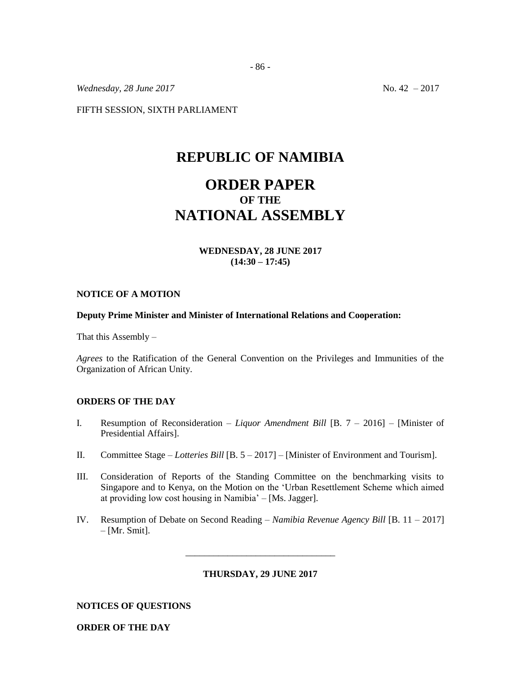*Wednesday, 28 June 2017* No. 42 – 2017

FIFTH SESSION, SIXTH PARLIAMENT

## **REPUBLIC OF NAMIBIA**

# **ORDER PAPER OF THE NATIONAL ASSEMBLY**

## **WEDNESDAY, 28 JUNE 2017 (14:30 – 17:45)**

#### **NOTICE OF A MOTION**

#### **Deputy Prime Minister and Minister of International Relations and Cooperation:**

That this Assembly –

*Agrees* to the Ratification of the General Convention on the Privileges and Immunities of the Organization of African Unity.

## **ORDERS OF THE DAY**

- I. Resumption of Reconsideration *– Liquor Amendment Bill* [B. 7 2016] [Minister of Presidential Affairs].
- II. Committee Stage *Lotteries Bill* [B. 5 2017] [Minister of Environment and Tourism].
- III. Consideration of Reports of the Standing Committee on the benchmarking visits to Singapore and to Kenya, on the Motion on the 'Urban Resettlement Scheme which aimed at providing low cost housing in Namibia' – [Ms. Jagger].
- IV. Resumption of Debate on Second Reading *Namibia Revenue Agency Bill* [B. 11 2017]  $-[Mr. Smit].$

**THURSDAY, 29 JUNE 2017**

\_\_\_\_\_\_\_\_\_\_\_\_\_\_\_\_\_\_\_\_\_\_\_\_\_\_\_\_\_\_\_\_

**NOTICES OF QUESTIONS**

**ORDER OF THE DAY**